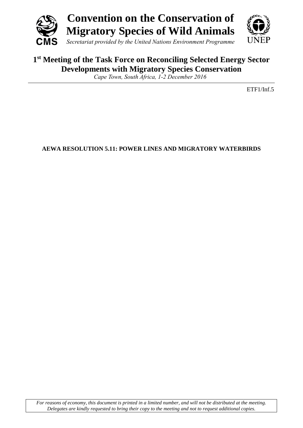

# **1 st Meeting of the Task Force on Reconciling Selected Energy Sector Developments with Migratory Species Conservation**

*Cape Town, South Africa, 1-2 December 2016*

ETF1/Inf.5

**AEWA RESOLUTION 5.11: POWER LINES AND MIGRATORY WATERBIRDS**

*For reasons of economy, this document is printed in a limited number, and will not be distributed at the meeting. Delegates are kindly requested to bring their copy to the meeting and not to request additional copies.*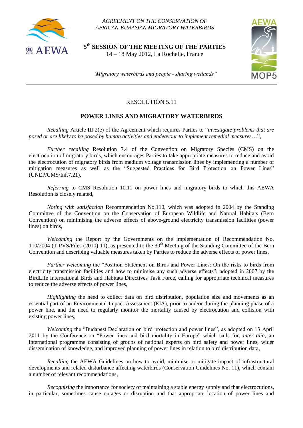

*AGREEMENT ON THE CONSERVATION OF AFRICAN-EURASIAN MIGRATORY WATERBIRDS*

**5 th SESSION OF THE MEETING OF THE PARTIES** 14 – 18 May 2012, La Rochelle, France



*"Migratory waterbirds and people - sharing wetlands"*

## RESOLUTION 5.11

### **POWER LINES AND MIGRATORY WATERBIRDS**

*Recalling* Article III 2(e) of the Agreement which requires Parties to "*investigate problems that are posed or are likely to be posed by human activities and endeavour to implement remedial measures*…",

*Further recalling* Resolution 7.4 of the Convention on Migratory Species (CMS) on the electrocution of migratory birds, which encourages Parties to take appropriate measures to reduce and avoid the electrocution of migratory birds from medium voltage transmission lines by implementing a number of mitigation measures as well as the "Suggested Practices for Bird Protection on Power Lines" (UNEP/CMS/Inf.7.21),

*Referring* to CMS Resolution 10.11 on power lines and migratory birds to which this AEWA Resolution is closely related,

*Noting with satisfaction* Recommendation No.110, which was adopted in 2004 by the Standing Committee of the Convention on the Conservation of European Wildlife and Natural Habitats (Bern Convention) on minimising the adverse effects of above-ground electricity transmission facilities (power lines) on birds,

*Welcoming* the Report by the Governments on the implementation of Recommendation No. 110/2004 (T-PVS/Files (2010) 11), as presented to the  $30<sup>th</sup>$  Meeting of the Standing Committee of the Bern Convention and describing valuable measures taken by Parties to reduce the adverse effects of power lines,

*Further welcoming* the "Position Statement on Birds and Power Lines: On the risks to birds from electricity transmission facilities and how to minimise any such adverse effects", adopted in 2007 by the BirdLife International Birds and Habitats Directives Task Force, calling for appropriate technical measures to reduce the adverse effects of power lines,

*Highlighting* the need to collect data on bird distribution, population size and movements as an essential part of an Environmental Impact Assessment (EIA), prior to and/or during the planning phase of a power line, and the need to regularly monitor the mortality caused by electrocution and collision with existing power lines,

*Welcoming* the "Budapest Declaration on bird protection and power lines", as adopted on 13 April 2011 by the Conference on "Power lines and bird mortality in Europe" which calls for, *inter alia*, an international programme consisting of groups of national experts on bird safety and power lines, wider dissemination of knowledge, and improved planning of power lines in relation to bird distribution data,

*Recalling* the AEWA Guidelines on how to avoid, minimise or mitigate impact of infrastructural developments and related disturbance affecting waterbirds (Conservation Guidelines No. 11), which contain a number of relevant recommendations,

*Recognising* the importance for society of maintaining a stable energy supply and that electrocutions, in particular, sometimes cause outages or disruption and that appropriate location of power lines and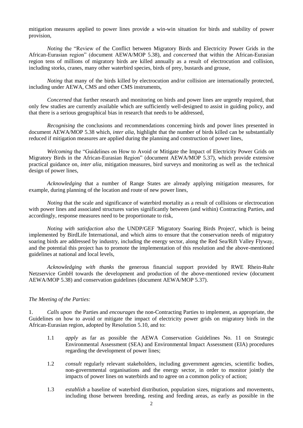mitigation measures applied to power lines provide a win-win situation for birds and stability of power provision,

*Noting* the "Review of the Conflict between Migratory Birds and Electricity Power Grids in the African-Eurasian region" (document AEWA/MOP 5.38), and *concerned* that within the African-Eurasian region tens of millions of migratory birds are killed annually as a result of electrocution and collision, including storks, cranes, many other waterbird species, birds of prey, bustards and grouse,

*Noting* that many of the birds killed by electrocution and/or collision are internationally protected, including under AEWA, CMS and other CMS instruments,

*Concerned* that further research and monitoring on birds and power lines are urgently required, that only few studies are currently available which are sufficiently well-designed to assist in guiding policy, and that there is a serious geographical bias in research that needs to be addressed,

*Recognising* the conclusions and recommendations concerning birds and power lines presented in document AEWA/MOP 5.38 which, *inter alia*, highlight that the number of birds killed can be substantially reduced if mitigation measures are applied during the planning and construction of power lines,

*Welcoming* the "Guidelines on How to Avoid or Mitigate the Impact of Electricity Power Grids on Migratory Birds in the African-Eurasian Region" (document AEWA/MOP 5.37), which provide extensive practical guidance on, *inter alia*, mitigation measures, bird surveys and monitoring as well as the technical design of power lines,

*Acknowledging* that a number of Range States are already applying mitigation measures, for example, during planning of the location and route of new power lines,

*Noting* that the scale and significance of waterbird mortality as a result of collisions or electrocution with power lines and associated structures varies significantly between (and within) Contracting Parties, and accordingly, response measures need to be proportionate to risk,

*Noting with satisfaction also* the UNDP/GEF 'Migratory Soaring Birds Project', which is being implemented by BirdLife International, and which aims to ensure that the conservation needs of migratory soaring birds are addressed by industry, including the energy sector, along the Red Sea/Rift Valley Flyway, and the potential this project has to promote the implementation of this resolution and the above-mentioned guidelines at national and local levels,

*Acknowledging with thanks* the generous financial support provided by RWE Rhein-Ruhr Netzservice GmbH towards the development and production of the above-mentioned review (document AEWA/MOP 5.38) and conservation guidelines (document AEWA/MOP 5.37).

#### *The Meeting of the Parties:*

1. *Calls upon* the Parties and *encourages* the non-Contracting Parties to implement, as appropriate, the Guidelines on how to avoid or mitigate the impact of electricity power grids on migratory birds in the African-Eurasian region, adopted by Resolution 5.10, and to:

- 1.1 *apply* as far as possible the AEWA Conservation Guidelines No. 11 on Strategic Environmental Assessment (SEA) and Environmental Impact Assessment (EIA) procedures regarding the development of power lines;
- 1.2 *consult* regularly relevant stakeholders, including government agencies, scientific bodies, non-governmental organisations and the energy sector, in order to monitor jointly the impacts of power lines on waterbirds and to agree on a common policy of action;
- 1.3 *establish* a baseline of waterbird distribution, population sizes, migrations and movements, including those between breeding, resting and feeding areas, as early as possible in the